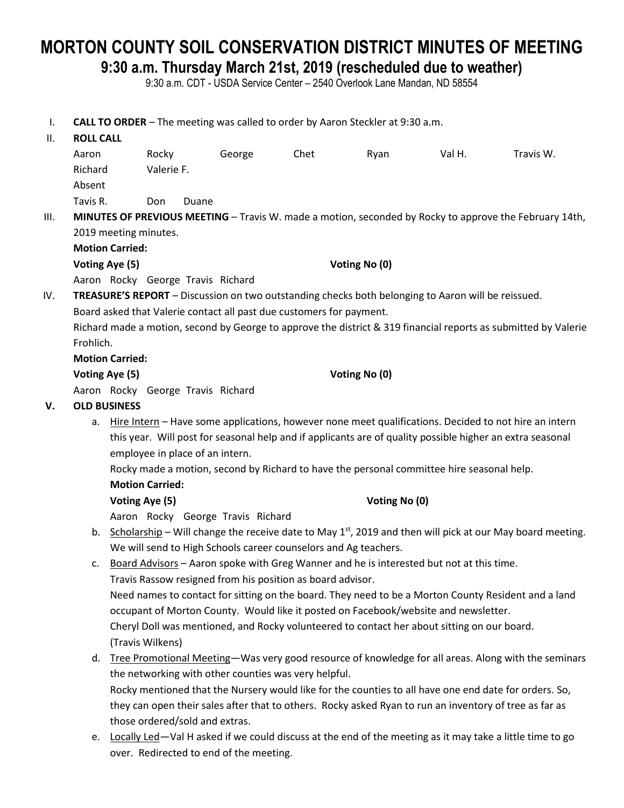# **MORTON COUNTY SOIL CONSERVATION DISTRICT MINUTES OF MEETING**

**9:30 a.m. Thursday March 21st, 2019 (rescheduled due to weather)**

9:30 a.m. CDT - USDA Service Center – 2540 Overlook Lane Mandan, ND 58554

I. **CALL TO ORDER** – The meeting was called to order by Aaron Steckler at 9:30 a.m. II. **ROLL CALL**

|      | Aaron                                                                                                           |                                                                                                          | Rocky                             | George                                                          | Chet | Ryan          | Val H.                                                                                      | Travis W.                                                                                                |
|------|-----------------------------------------------------------------------------------------------------------------|----------------------------------------------------------------------------------------------------------|-----------------------------------|-----------------------------------------------------------------|------|---------------|---------------------------------------------------------------------------------------------|----------------------------------------------------------------------------------------------------------|
|      | Richard                                                                                                         |                                                                                                          | Valerie F.                        |                                                                 |      |               |                                                                                             |                                                                                                          |
|      | Absent                                                                                                          |                                                                                                          |                                   |                                                                 |      |               |                                                                                             |                                                                                                          |
|      | Tavis R.                                                                                                        |                                                                                                          | Don<br>Duane                      |                                                                 |      |               |                                                                                             |                                                                                                          |
| III. | MINUTES OF PREVIOUS MEETING - Travis W. made a motion, seconded by Rocky to approve the February 14th,          |                                                                                                          |                                   |                                                                 |      |               |                                                                                             |                                                                                                          |
|      |                                                                                                                 | 2019 meeting minutes.                                                                                    |                                   |                                                                 |      |               |                                                                                             |                                                                                                          |
|      |                                                                                                                 | <b>Motion Carried:</b>                                                                                   |                                   |                                                                 |      |               |                                                                                             |                                                                                                          |
|      |                                                                                                                 | Voting Aye (5)                                                                                           |                                   |                                                                 |      | Voting No (0) |                                                                                             |                                                                                                          |
|      |                                                                                                                 |                                                                                                          | Aaron Rocky George Travis Richard |                                                                 |      |               |                                                                                             |                                                                                                          |
| IV.  | TREASURE'S REPORT - Discussion on two outstanding checks both belonging to Aaron will be reissued.              |                                                                                                          |                                   |                                                                 |      |               |                                                                                             |                                                                                                          |
|      | Board asked that Valerie contact all past due customers for payment.                                            |                                                                                                          |                                   |                                                                 |      |               |                                                                                             |                                                                                                          |
|      | Richard made a motion, second by George to approve the district & 319 financial reports as submitted by Valerie |                                                                                                          |                                   |                                                                 |      |               |                                                                                             |                                                                                                          |
|      | Frohlich.                                                                                                       |                                                                                                          |                                   |                                                                 |      |               |                                                                                             |                                                                                                          |
|      |                                                                                                                 | <b>Motion Carried:</b>                                                                                   |                                   |                                                                 |      |               |                                                                                             |                                                                                                          |
|      |                                                                                                                 | Voting Aye (5)                                                                                           |                                   |                                                                 |      | Voting No (0) |                                                                                             |                                                                                                          |
|      |                                                                                                                 |                                                                                                          | Aaron Rocky George Travis Richard |                                                                 |      |               |                                                                                             |                                                                                                          |
| v.   | <b>OLD BUSINESS</b>                                                                                             |                                                                                                          |                                   |                                                                 |      |               |                                                                                             |                                                                                                          |
|      |                                                                                                                 | a. Hire Intern - Have some applications, however none meet qualifications. Decided to not hire an intern |                                   |                                                                 |      |               |                                                                                             |                                                                                                          |
|      | this year. Will post for seasonal help and if applicants are of quality possible higher an extra seasonal       |                                                                                                          |                                   |                                                                 |      |               |                                                                                             |                                                                                                          |
|      | employee in place of an intern.                                                                                 |                                                                                                          |                                   |                                                                 |      |               |                                                                                             |                                                                                                          |
|      |                                                                                                                 | Rocky made a motion, second by Richard to have the personal committee hire seasonal help.                |                                   |                                                                 |      |               |                                                                                             |                                                                                                          |
|      |                                                                                                                 | <b>Motion Carried:</b>                                                                                   |                                   |                                                                 |      |               |                                                                                             |                                                                                                          |
|      |                                                                                                                 | Voting Aye (5)                                                                                           |                                   |                                                                 |      | Voting No (0) |                                                                                             |                                                                                                          |
|      |                                                                                                                 |                                                                                                          |                                   | Aaron Rocky George Travis Richard                               |      |               |                                                                                             |                                                                                                          |
|      | b. Scholarship – Will change the receive date to May $1st$ , 2019 and then will pick at our May board meeting.  |                                                                                                          |                                   |                                                                 |      |               |                                                                                             |                                                                                                          |
|      |                                                                                                                 |                                                                                                          |                                   | We will send to High Schools career counselors and Ag teachers. |      |               |                                                                                             |                                                                                                          |
|      | c.                                                                                                              |                                                                                                          |                                   |                                                                 |      |               | Board Advisors - Aaron spoke with Greg Wanner and he is interested but not at this time.    |                                                                                                          |
|      |                                                                                                                 |                                                                                                          |                                   | Travis Rassow resigned from his position as board advisor.      |      |               |                                                                                             |                                                                                                          |
|      |                                                                                                                 |                                                                                                          |                                   |                                                                 |      |               |                                                                                             | Need names to contact for sitting on the board. They need to be a Morton County Resident and a land      |
|      |                                                                                                                 |                                                                                                          |                                   |                                                                 |      |               | occupant of Morton County. Would like it posted on Facebook/website and newsletter.         |                                                                                                          |
|      |                                                                                                                 |                                                                                                          |                                   |                                                                 |      |               | Cheryl Doll was mentioned, and Rocky volunteered to contact her about sitting on our board. |                                                                                                          |
|      |                                                                                                                 |                                                                                                          | (Travis Wilkens)                  |                                                                 |      |               |                                                                                             |                                                                                                          |
|      | d.                                                                                                              |                                                                                                          |                                   |                                                                 |      |               |                                                                                             | Tree Promotional Meeting-Was very good resource of knowledge for all areas. Along with the seminars      |
|      |                                                                                                                 |                                                                                                          |                                   | the networking with other counties was very helpful.            |      |               |                                                                                             |                                                                                                          |
|      |                                                                                                                 |                                                                                                          |                                   |                                                                 |      |               |                                                                                             | Rocky mentioned that the Nursery would like for the counties to all have one end date for orders. So,    |
|      |                                                                                                                 |                                                                                                          |                                   |                                                                 |      |               |                                                                                             | they can open their sales after that to others. Rocky asked Ryan to run an inventory of tree as far as   |
|      |                                                                                                                 |                                                                                                          | those ordered/sold and extras.    |                                                                 |      |               |                                                                                             |                                                                                                          |
|      | e.                                                                                                              |                                                                                                          |                                   |                                                                 |      |               |                                                                                             | Locally Led-Val H asked if we could discuss at the end of the meeting as it may take a little time to go |

over. Redirected to end of the meeting.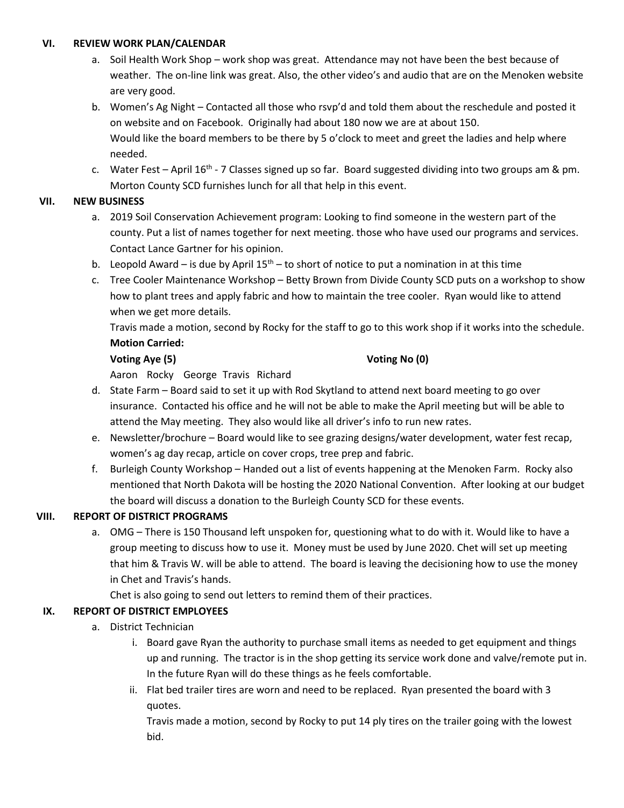#### **VI. REVIEW WORK PLAN/CALENDAR**

- a. Soil Health Work Shop work shop was great. Attendance may not have been the best because of weather. The on-line link was great. Also, the other video's and audio that are on the Menoken website are very good.
- b. Women's Ag Night Contacted all those who rsvp'd and told them about the reschedule and posted it on website and on Facebook. Originally had about 180 now we are at about 150. Would like the board members to be there by 5 o'clock to meet and greet the ladies and help where needed.
- c. Water Fest April 16<sup>th</sup> 7 Classes signed up so far. Board suggested dividing into two groups am & pm. Morton County SCD furnishes lunch for all that help in this event.

### **VII. NEW BUSINESS**

- a. 2019 Soil Conservation Achievement program: Looking to find someone in the western part of the county. Put a list of names together for next meeting. those who have used our programs and services. Contact Lance Gartner for his opinion.
- b. Leopold Award is due by April  $15<sup>th</sup>$  to short of notice to put a nomination in at this time
- c. Tree Cooler Maintenance Workshop Betty Brown from Divide County SCD puts on a workshop to show how to plant trees and apply fabric and how to maintain the tree cooler. Ryan would like to attend when we get more details.

Travis made a motion, second by Rocky for the staff to go to this work shop if it works into the schedule. **Motion Carried:**

### **Voting Aye (5) Voting No (0)**

Aaron Rocky George Travis Richard

- d. State Farm Board said to set it up with Rod Skytland to attend next board meeting to go over insurance. Contacted his office and he will not be able to make the April meeting but will be able to attend the May meeting. They also would like all driver's info to run new rates.
- e. Newsletter/brochure Board would like to see grazing designs/water development, water fest recap, women's ag day recap, article on cover crops, tree prep and fabric.
- f. Burleigh County Workshop Handed out a list of events happening at the Menoken Farm. Rocky also mentioned that North Dakota will be hosting the 2020 National Convention. After looking at our budget the board will discuss a donation to the Burleigh County SCD for these events.

# **VIII. REPORT OF DISTRICT PROGRAMS**

a. OMG – There is 150 Thousand left unspoken for, questioning what to do with it. Would like to have a group meeting to discuss how to use it. Money must be used by June 2020. Chet will set up meeting that him & Travis W. will be able to attend. The board is leaving the decisioning how to use the money in Chet and Travis's hands.

Chet is also going to send out letters to remind them of their practices.

# **IX. REPORT OF DISTRICT EMPLOYEES**

- a. District Technician
	- i. Board gave Ryan the authority to purchase small items as needed to get equipment and things up and running. The tractor is in the shop getting its service work done and valve/remote put in. In the future Ryan will do these things as he feels comfortable.
	- ii. Flat bed trailer tires are worn and need to be replaced. Ryan presented the board with 3 quotes.

Travis made a motion, second by Rocky to put 14 ply tires on the trailer going with the lowest bid.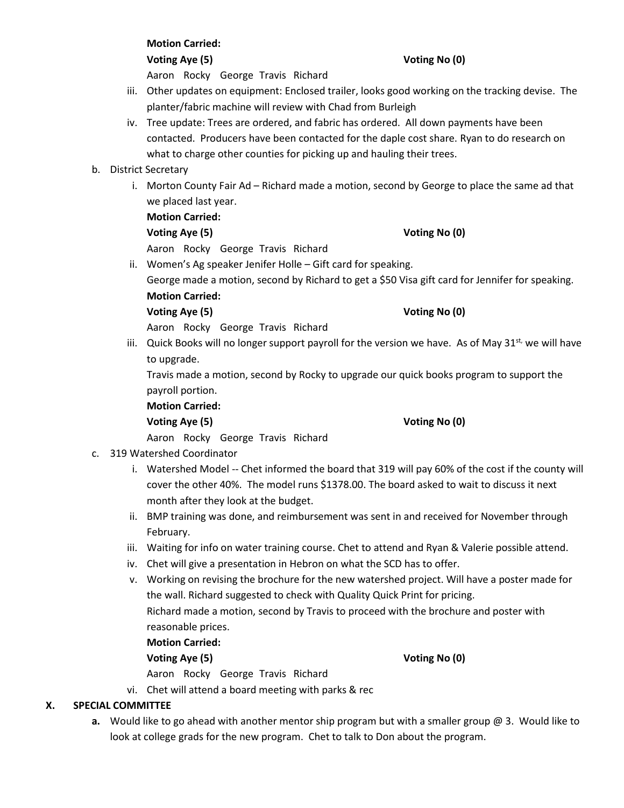#### **Motion Carried:**

**Voting Aye (5) Voting No (0)**

Aaron Rocky George Travis Richard

- iii. Other updates on equipment: Enclosed trailer, looks good working on the tracking devise. The planter/fabric machine will review with Chad from Burleigh
- iv. Tree update: Trees are ordered, and fabric has ordered. All down payments have been contacted. Producers have been contacted for the daple cost share. Ryan to do research on what to charge other counties for picking up and hauling their trees.

# b. District Secretary

i. Morton County Fair Ad – Richard made a motion, second by George to place the same ad that we placed last year.

# **Motion Carried:**

# **Voting Aye (5) Voting No (0)**

Aaron Rocky George Travis Richard

ii. Women's Ag speaker Jenifer Holle – Gift card for speaking.

George made a motion, second by Richard to get a \$50 Visa gift card for Jennifer for speaking. **Motion Carried:**

### **Voting Aye (5) Voting No (0)**

Aaron Rocky George Travis Richard

iii. Quick Books will no longer support payroll for the version we have. As of May  $31^{st}$ , we will have to upgrade.

Travis made a motion, second by Rocky to upgrade our quick books program to support the payroll portion.

**Motion Carried:**

# **Voting Aye (5) Voting No (0)**

- Aaron Rocky George Travis Richard c. 319 Watershed Coordinator
	- i. Watershed Model -- Chet informed the board that 319 will pay 60% of the cost if the county will cover the other 40%. The model runs \$1378.00. The board asked to wait to discuss it next month after they look at the budget.
	- ii. BMP training was done, and reimbursement was sent in and received for November through February.
	- iii. Waiting for info on water training course. Chet to attend and Ryan & Valerie possible attend.
	- iv. Chet will give a presentation in Hebron on what the SCD has to offer.
	- v. Working on revising the brochure for the new watershed project. Will have a poster made for the wall. Richard suggested to check with Quality Quick Print for pricing. Richard made a motion, second by Travis to proceed with the brochure and poster with reasonable prices.

# **Motion Carried:**

# **Voting Aye (5) Voting No (0)**

Aaron Rocky George Travis Richard

vi. Chet will attend a board meeting with parks & rec

# **X. SPECIAL COMMITTEE**

**a.** Would like to go ahead with another mentor ship program but with a smaller group @ 3. Would like to look at college grads for the new program. Chet to talk to Don about the program.